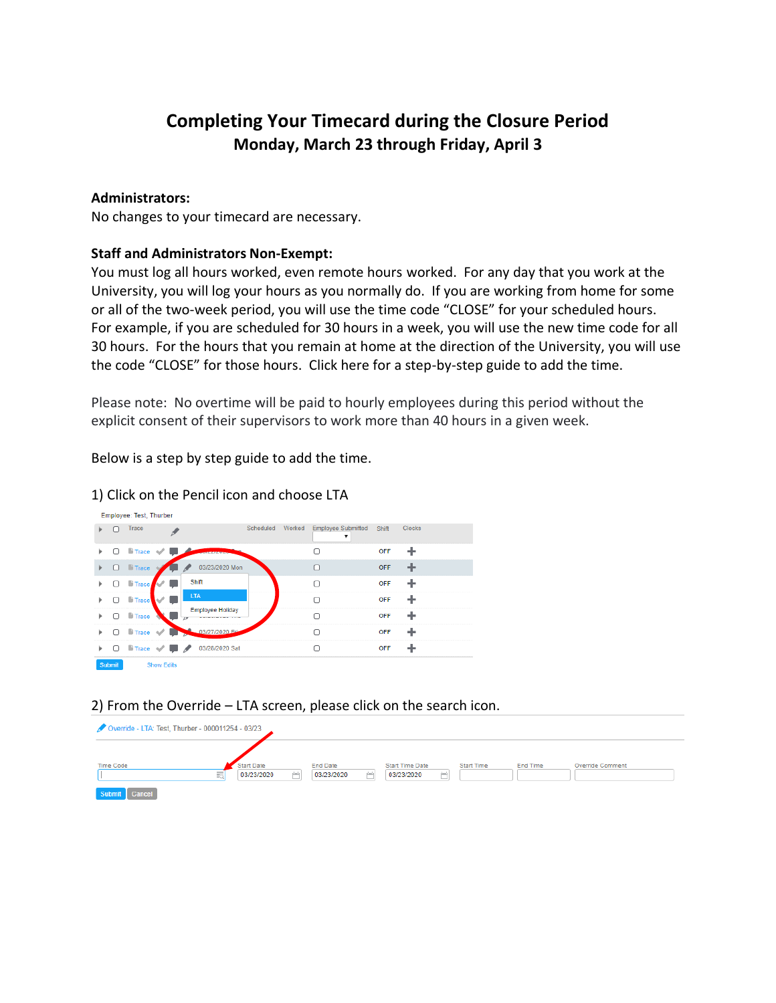## **Completing Your Timecard during the Closure Period Monday, March 23 through Friday, April 3**

## **Administrators:**

Employee: Test, Thurber

No changes to your timecard are necessary.

## **Staff and Administrators Non-Exempt:**

You must log all hours worked, even remote hours worked. For any day that you work at the University, you will log your hours as you normally do. If you are working from home for some or all of the two-week period, you will use the time code "CLOSE" for your scheduled hours. For example, if you are scheduled for 30 hours in a week, you will use the new time code for all 30 hours. For the hours that you remain at home at the direction of the University, you will use the code "CLOSE" for those hours. Click here for a step-by-step guide to add the time.

Please note: No overtime will be paid to hourly employees during this period without the explicit consent of their supervisors to work more than 40 hours in a given week.

Below is a step by step guide to add the time.

|        |        |                                                         |                          | Scheduled | Worked | <b>Employee Submitted</b> | Shift      | <b>Clocks</b> |
|--------|--------|---------------------------------------------------------|--------------------------|-----------|--------|---------------------------|------------|---------------|
| ь      |        | Trace                                                   |                          |           |        | ▼                         |            |               |
| ь      | n      | <b>li</b> Trace √                                       | <b><i>CONTRACTOR</i></b> |           |        | 0                         | <b>OFF</b> | ÷             |
| ₽      | Ω      | <b>i</b> Trace                                          | 03/23/2020 Mon           |           |        | $\Box$                    | OFF        |               |
| Þ      | $\Box$ | li Trace                                                | Shift                    |           |        | $\Box$                    | OFF        |               |
| Þ      | Ω      | <b>li</b> Trace                                         | <b>LTA</b>               |           |        | $\Box$                    | OFF        |               |
| Þ      | Ω      | <b>iii</b> Trace                                        | <b>Employee Holiday</b>  |           |        | $\Box$                    | OFF        |               |
| Þ      | o      | $\blacksquare$ Trace $\blacktriangleright$<br><b>Ay</b> | 03/27/2020 Eri           |           |        | O                         | OFF        |               |
| Þ.     |        | $\Box$ is trace $\vee$ $\Box$ $\angle$                  | 03/28/2020 Sat           |           |        | Ω                         | <b>OFF</b> |               |
| Submit |        | <b>Show Edits</b>                                       |                          |           |        |                           |            |               |

1) Click on the Pencil icon and choose LTA

## 2) From the Override – LTA screen, please click on the search icon.

| Override - LTA: Test, Thurber - 000011254 - 03/23 |                      |                 |                               |                   |          |                  |  |  |  |  |  |
|---------------------------------------------------|----------------------|-----------------|-------------------------------|-------------------|----------|------------------|--|--|--|--|--|
| <b>Time Code</b>                                  | Start Date           | <b>End Date</b> | <b>Start Time Date</b>        | <b>Start Time</b> | End Time | Override Comment |  |  |  |  |  |
| Submit Cancel                                     | 03/23/2020<br>読<br>œ | m<br>03/23/2020 | <b>Contract</b><br>03/23/2020 |                   |          |                  |  |  |  |  |  |